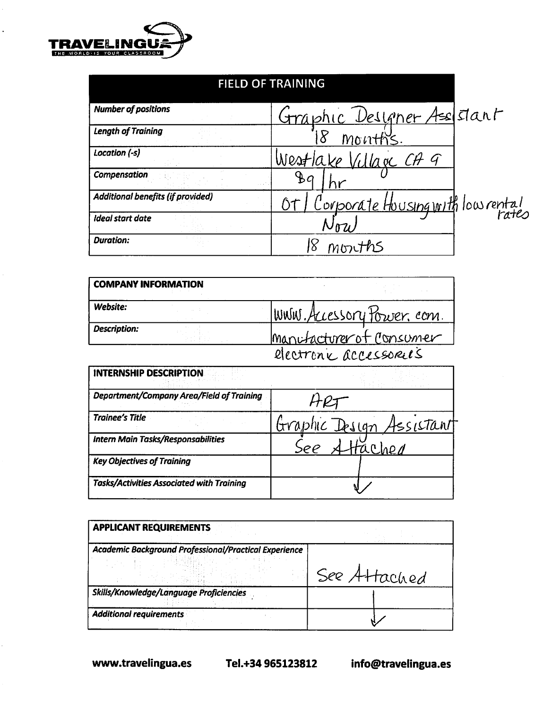

#### **FIELD OF TRAINING Number of positions** Designer Assistant <u>Graphic</u> **Length of Training**  $8^{\circ}$ Location (-s) Westlake Village CA 9 **Compensation**  $\mathcal{B}a$ 责 Corporate Housing with low rental Additional benefits (if provided) O. Ideal start date Nou **Duration:** 18 months

| <b>COMPANY INFORMATION</b> |                            |
|----------------------------|----------------------------|
| Website:                   | WWW. Accessory Power, com. |
| Description:               | manufacturer of Consumer   |
|                            | electronic accessoreis     |

| <b>INTERNSHIP DESCRIPTION</b>                    |                          |  |
|--------------------------------------------------|--------------------------|--|
| Department/Company Area/Field of Training        |                          |  |
| <b>Trainee's Title</b>                           | Graphic Design Assistant |  |
| <b>Intern Main Tasks/Responsabilities</b>        | Hached                   |  |
| <b>Key Objectives of Training</b>                |                          |  |
| <b>Tasks/Activities Associated with Training</b> |                          |  |

| <b>APPLICANT REQUIREMENTS</b>                         |              |
|-------------------------------------------------------|--------------|
| Academic Background Professional/Practical Experience | See Attached |
| Skills/Knowledge/Language Proficiencies               |              |
| <b>Additional requirements</b>                        |              |

www.travelingua.es

Tel.+34 965123812

info@travelingua.es